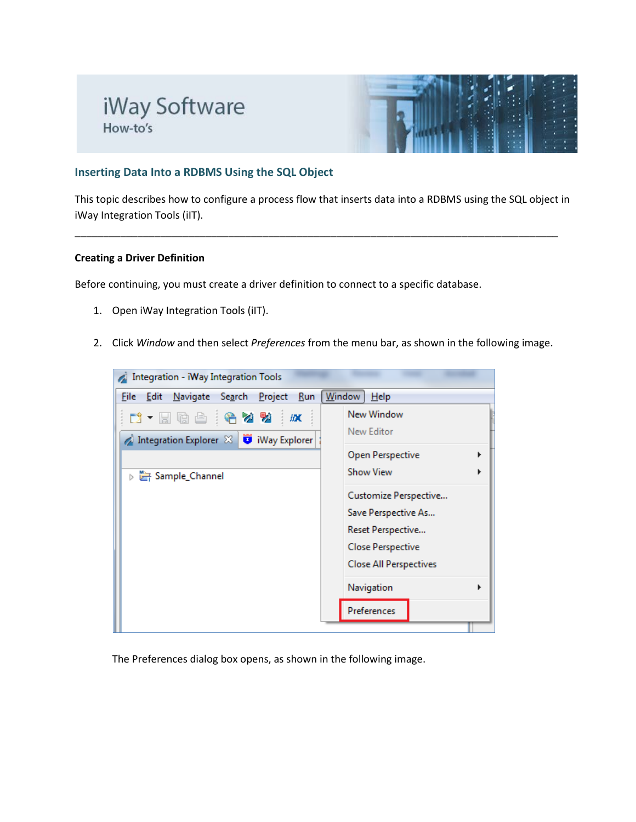# iWay Software How-to's



#### **Inserting Data Into a RDBMS Using the SQL Object**

This topic describes how to configure a process flow that inserts data into a RDBMS using the SQL object in iWay Integration Tools (iIT).

\_\_\_\_\_\_\_\_\_\_\_\_\_\_\_\_\_\_\_\_\_\_\_\_\_\_\_\_\_\_\_\_\_\_\_\_\_\_\_\_\_\_\_\_\_\_\_\_\_\_\_\_\_\_\_\_\_\_\_\_\_\_\_\_\_\_\_\_\_\_\_\_\_\_\_\_\_\_\_\_\_\_\_\_\_

#### **Creating a Driver Definition**

Before continuing, you must create a driver definition to connect to a specific database.

- 1. Open iWay Integration Tools (iIT).
- 2. Click *Window* and then select *Preferences* from the menu bar, as shown in the following image.



The Preferences dialog box opens, as shown in the following image.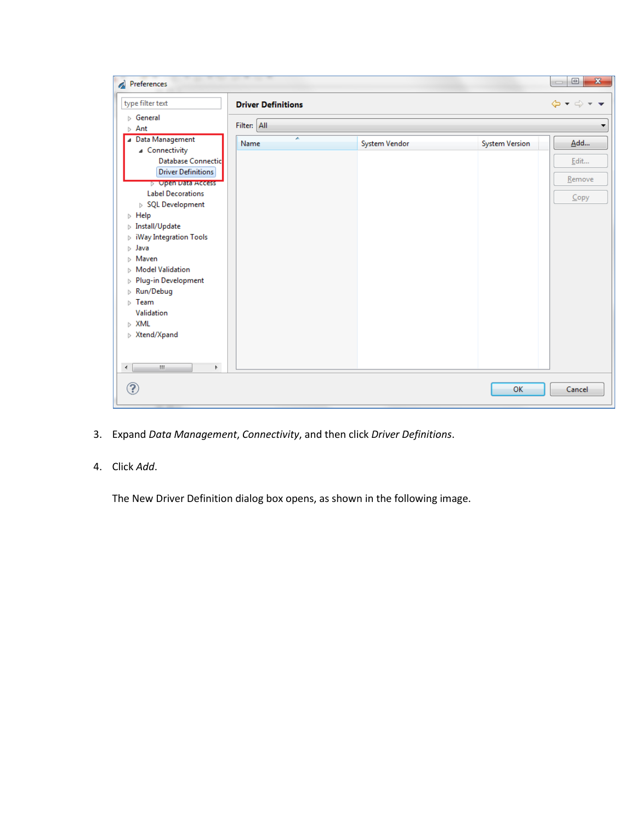| Preferences                                                                   |                           |               |                | $\mathbf{x}$<br>$\Box$<br>$\qquad \qquad \Box$              |
|-------------------------------------------------------------------------------|---------------------------|---------------|----------------|-------------------------------------------------------------|
| type filter text                                                              | <b>Driver Definitions</b> |               |                | $\Leftrightarrow$ $\rightarrow$ $\rightarrow$ $\rightarrow$ |
| $\triangleright$ General<br>$\triangleright$ Ant                              | Filter: All               |               |                | ▼                                                           |
| ▲ Data Management<br>▲ Connectivity                                           | ≖<br>Name                 | System Vendor | System Version | Add                                                         |
| Database Connectic<br><b>Driver Definitions</b>                               |                           |               |                | Edit<br>Remove                                              |
| <b>D</b> Upen Data Access<br><b>Label Decorations</b>                         |                           |               |                | $C$ opy                                                     |
| > SQL Development<br>$\triangleright$ Help<br>$\triangleright$ Install/Update |                           |               |                |                                                             |
| $\triangleright$ iWay Integration Tools<br>$\triangleright$ Java              |                           |               |                |                                                             |
| $\triangleright$ Maven<br>$\triangleright$ Model Validation                   |                           |               |                |                                                             |
| Plug-in Development<br>Þ<br>$\triangleright$ Run/Debug                        |                           |               |                |                                                             |
| $\triangleright$ Team<br>Validation                                           |                           |               |                |                                                             |
| $\triangleright$ XML<br>$\triangleright$ Xtend/Xpand                          |                           |               |                |                                                             |
|                                                                               |                           |               |                |                                                             |
| $\leftarrow$<br>$\mathbf{H}$<br>Þ.                                            |                           |               |                |                                                             |
| ?                                                                             |                           |               | OK             | Cancel                                                      |

3. Expand *Data Management*, *Connectivity*, and then click *Driver Definitions*.

## 4. Click *Add*.

The New Driver Definition dialog box opens, as shown in the following image.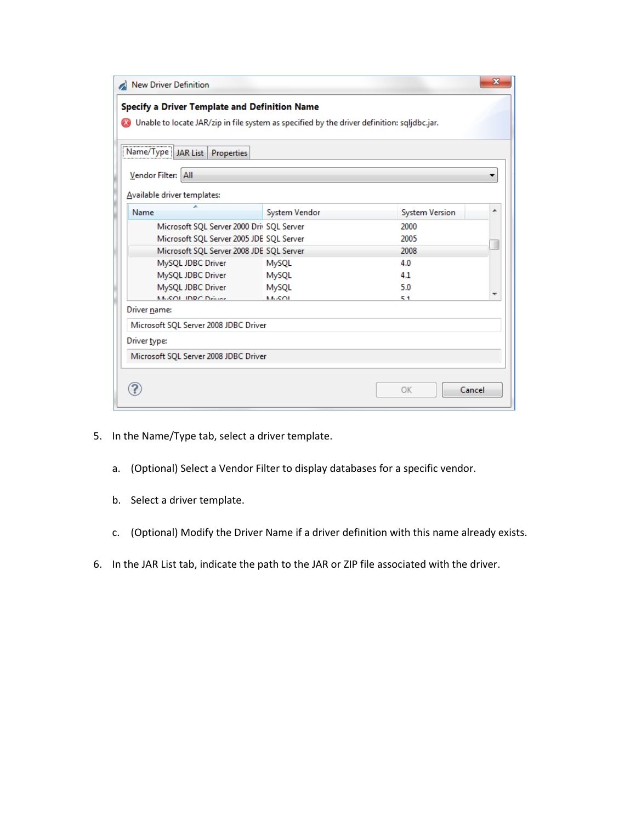| New Driver Definition                                                                       |               |                | $\mathbf{x}$ |
|---------------------------------------------------------------------------------------------|---------------|----------------|--------------|
| Specify a Driver Template and Definition Name                                               |               |                |              |
| Onable to locate JAR/zip in file system as specified by the driver definition: sqlidbc.jar. |               |                |              |
|                                                                                             |               |                |              |
| Name/Type   JAR List   Properties                                                           |               |                |              |
| Vendor Filter: All                                                                          |               |                |              |
|                                                                                             |               |                |              |
| Available driver templates:                                                                 |               |                |              |
| ×.<br>Name                                                                                  | System Vendor | System Version | ▴            |
| Microsoft SQL Server 2000 Driv SQL Server                                                   |               | 2000           |              |
| Microsoft SQL Server 2005 JDE SQL Server                                                    |               | 2005           |              |
| Microsoft SQL Server 2008 JDE SQL Server                                                    |               | 2008           |              |
| MySQL JDBC Driver                                                                           | MySQL         | 4.0            |              |
| MySQL JDBC Driver                                                                           | MySQL         | 4.1            |              |
| MySQL JDBC Driver                                                                           | MySQL         | 5.0            | ٠            |
| McCOL IDDC Deliver                                                                          | <b>MACOL</b>  | 51             |              |
| Driver name:                                                                                |               |                |              |
| Microsoft SQL Server 2008 JDBC Driver                                                       |               |                |              |
| Driver type:                                                                                |               |                |              |
| Microsoft SQL Server 2008 JDBC Driver                                                       |               |                |              |
|                                                                                             |               |                |              |
|                                                                                             |               |                |              |
|                                                                                             |               | Cancel<br>OK   |              |
|                                                                                             |               |                |              |

- 5. In the Name/Type tab, select a driver template.
	- a. (Optional) Select a Vendor Filter to display databases for a specific vendor.
	- b. Select a driver template.
	- c. (Optional) Modify the Driver Name if a driver definition with this name already exists.
- 6. In the JAR List tab, indicate the path to the JAR or ZIP file associated with the driver.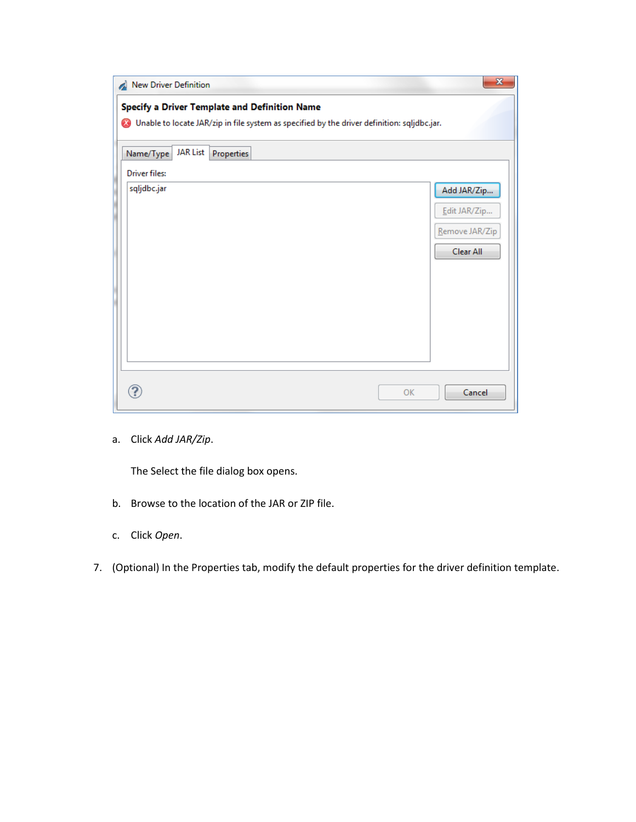| New Driver Definition                                     |                 |            |                                                                                             |  |           | $\mathbf{x}$                                               |
|-----------------------------------------------------------|-----------------|------------|---------------------------------------------------------------------------------------------|--|-----------|------------------------------------------------------------|
| Specify a Driver Template and Definition Name<br>$\infty$ |                 |            | Unable to locate JAR/zip in file system as specified by the driver definition: sqljdbc.jar. |  |           |                                                            |
| Name/Type                                                 | <b>JAR List</b> | Properties |                                                                                             |  |           |                                                            |
| <b>Driver files:</b>                                      |                 |            |                                                                                             |  |           |                                                            |
| sqljdbc.jar                                               |                 |            |                                                                                             |  |           | Add JAR/Zip<br>Edit JAR/Zip<br>Remove JAR/Zip<br>Clear All |
| ?                                                         |                 |            |                                                                                             |  | <b>OK</b> | Cancel                                                     |

a. Click *Add JAR/Zip*.

The Select the file dialog box opens.

- b. Browse to the location of the JAR or ZIP file.
- c. Click *Open*.
- 7. (Optional) In the Properties tab, modify the default properties for the driver definition template.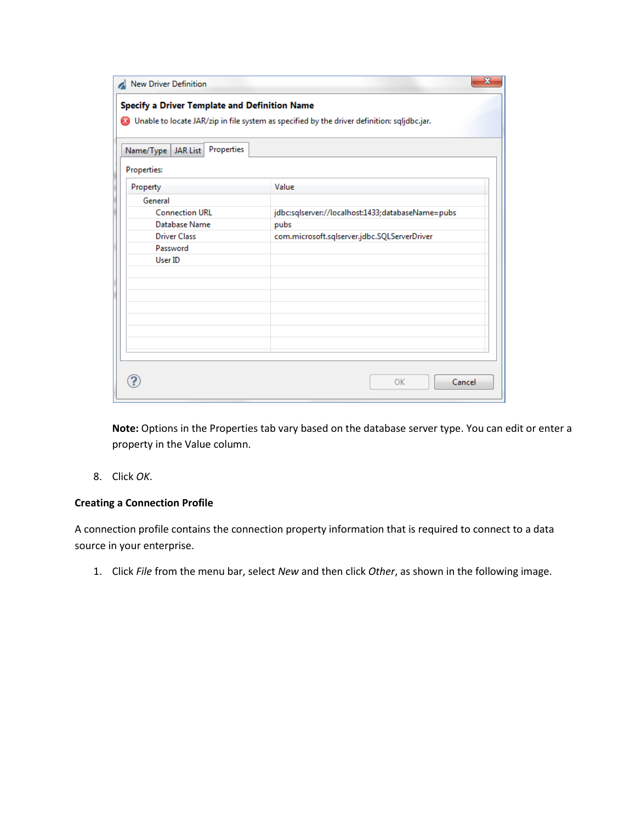| New Driver Definition                         | $\overline{\mathbf{x}}$                                                                       |
|-----------------------------------------------|-----------------------------------------------------------------------------------------------|
| Specify a Driver Template and Definition Name |                                                                                               |
|                                               | O Unable to locate JAR/zip in file system as specified by the driver definition: sqljdbc.jar. |
| Name/Type   JAR List   Properties             |                                                                                               |
| <b>Properties:</b>                            |                                                                                               |
| Property                                      | Value                                                                                         |
| General                                       |                                                                                               |
| <b>Connection URL</b>                         | jdbc:sqlserver://localhost:1433;databaseName=pubs                                             |
| Database Name                                 | pubs                                                                                          |
| <b>Driver Class</b>                           | com.microsoft.sqlserver.jdbc.SQLServerDriver                                                  |
| Password                                      |                                                                                               |
| User ID                                       |                                                                                               |
|                                               |                                                                                               |
|                                               |                                                                                               |
|                                               |                                                                                               |
|                                               |                                                                                               |
|                                               |                                                                                               |
|                                               |                                                                                               |
|                                               |                                                                                               |
|                                               |                                                                                               |
|                                               | Cancel<br>OK                                                                                  |

**Note:** Options in the Properties tab vary based on the database server type. You can edit or enter a property in the Value column.

8. Click *OK*.

# **Creating a Connection Profile**

A connection profile contains the connection property information that is required to connect to a data source in your enterprise.

1. Click *File* from the menu bar, select *New* and then click *Other*, as shown in the following image.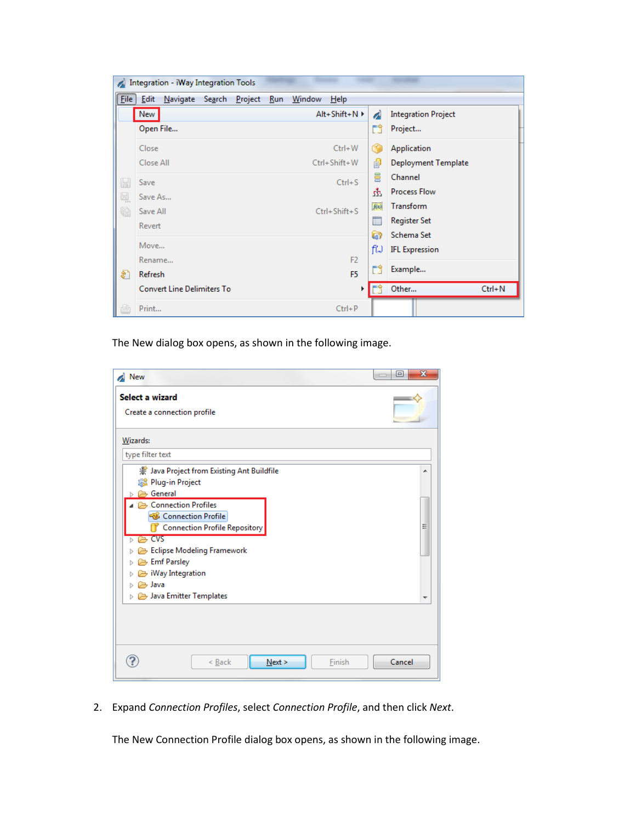| $\overline{\mathcal{L}}$ | Integration - iWay Integration Tools                  |      |                            |
|--------------------------|-------------------------------------------------------|------|----------------------------|
| Eile                     | Navigate Search Project Run Window<br>Edit<br>$He$ lp |      |                            |
|                          | New<br>$Alt + Shift + N$                              | À    | <b>Integration Project</b> |
|                          | Open File                                             | ĒĴ   | Project                    |
|                          | Close<br>$Ctrl + W$                                   | G    | Application                |
|                          | Close All<br>Ctrl+Shift+W                             | 卣    | <b>Deployment Template</b> |
| H                        | $Ctrl + S$<br>Save                                    | 冒    | Channel                    |
| Q,                       | Save As                                               | Ψ    | <b>Process Flow</b>        |
| Ġ                        | $Ctrl + Shift + S$<br>Save All                        | f(x) | Transform                  |
|                          | Revert                                                | F    | Register Set               |
|                          | Move                                                  | Q    | Schema Set                 |
|                          | F <sub>2</sub><br>Rename                              | fW   | <b>IFL Expression</b>      |
| €                        | F <sub>5</sub><br>Refresh                             | ĒĴ.  | Example                    |
|                          | <b>Convert Line Delimiters To</b><br>Þ                |      | $Ctrl + N$<br>Other        |
| ₿                        | Print<br>$Ctrl + P$                                   |      |                            |

The New dialog box opens, as shown in the following image.

| New                                                                                                                                                                                                                                                                                                                                             | $\mathbf{x}$<br>⊡ |
|-------------------------------------------------------------------------------------------------------------------------------------------------------------------------------------------------------------------------------------------------------------------------------------------------------------------------------------------------|-------------------|
| Select a wizard<br>Create a connection profile                                                                                                                                                                                                                                                                                                  |                   |
| Wizards:                                                                                                                                                                                                                                                                                                                                        |                   |
| type filter text                                                                                                                                                                                                                                                                                                                                |                   |
| 《 Java Project from Existing Ant Buildfile<br><b> a</b> Plug-in Project<br><b>B</b> General<br>Connection Profiles<br><b>&amp;</b> Connection Profile<br><b>Connection Profile Repository</b><br>$\Rightarrow$ CVS<br>Eclipse Modeling Framework<br>Emf Parsley<br>$\triangleright$ iWay Integration<br><b>B</b> Java<br>Java Emitter Templates | ▲<br>Ξ            |
| Finish<br>Next ><br>< Back                                                                                                                                                                                                                                                                                                                      | Cancel            |

2. Expand *Connection Profiles*, select *Connection Profile*, and then click *Next*.

The New Connection Profile dialog box opens, as shown in the following image.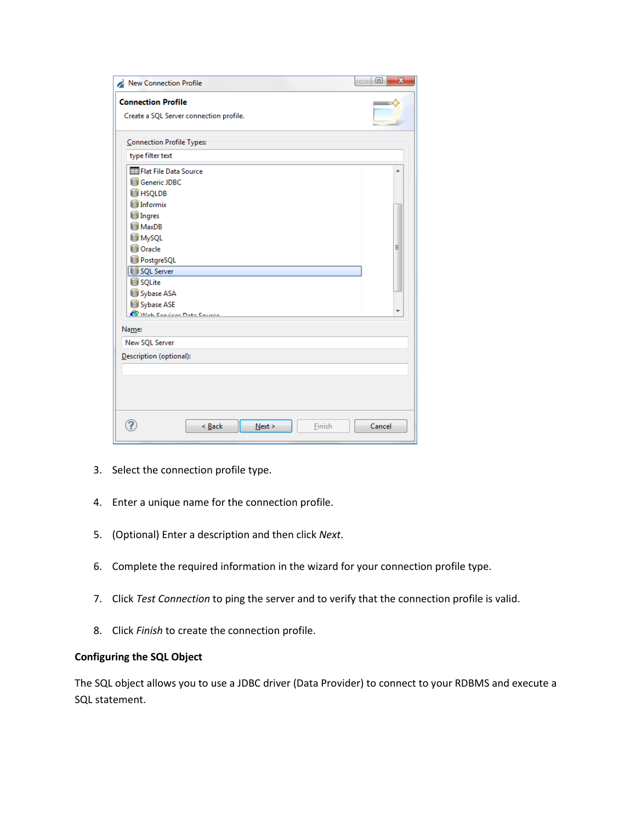| <b>Connection Profile</b>                                                                                                                                                                           |  |        |        |
|-----------------------------------------------------------------------------------------------------------------------------------------------------------------------------------------------------|--|--------|--------|
| Create a SQL Server connection profile.                                                                                                                                                             |  |        |        |
| <b>Connection Profile Types:</b>                                                                                                                                                                    |  |        |        |
| type filter text                                                                                                                                                                                    |  |        |        |
| Flat File Data Source<br><b>Generic JDBC</b><br><b>E</b> HSQLDB<br>Informix<br>Ingres<br>MaxDB<br><b>S</b> MySQL<br><b>Cracle</b><br>PostgreSQL<br>SQL Server<br>SQLite<br>Sybase ASA<br>Sybase ASE |  |        | ▴<br>Ξ |
| <b>C</b> Mah Candese Data Course<br>Name:                                                                                                                                                           |  |        |        |
| New SQL Server                                                                                                                                                                                      |  |        |        |
| Description (optional):                                                                                                                                                                             |  |        |        |
|                                                                                                                                                                                                     |  |        |        |
|                                                                                                                                                                                                     |  |        |        |
|                                                                                                                                                                                                     |  |        |        |
|                                                                                                                                                                                                     |  | Cancel |        |

- 3. Select the connection profile type.
- 4. Enter a unique name for the connection profile.
- 5. (Optional) Enter a description and then click *Next*.
- 6. Complete the required information in the wizard for your connection profile type.
- 7. Click *Test Connection* to ping the server and to verify that the connection profile is valid.
- 8. Click *Finish* to create the connection profile.

### **Configuring the SQL Object**

The SQL object allows you to use a JDBC driver (Data Provider) to connect to your RDBMS and execute a SQL statement.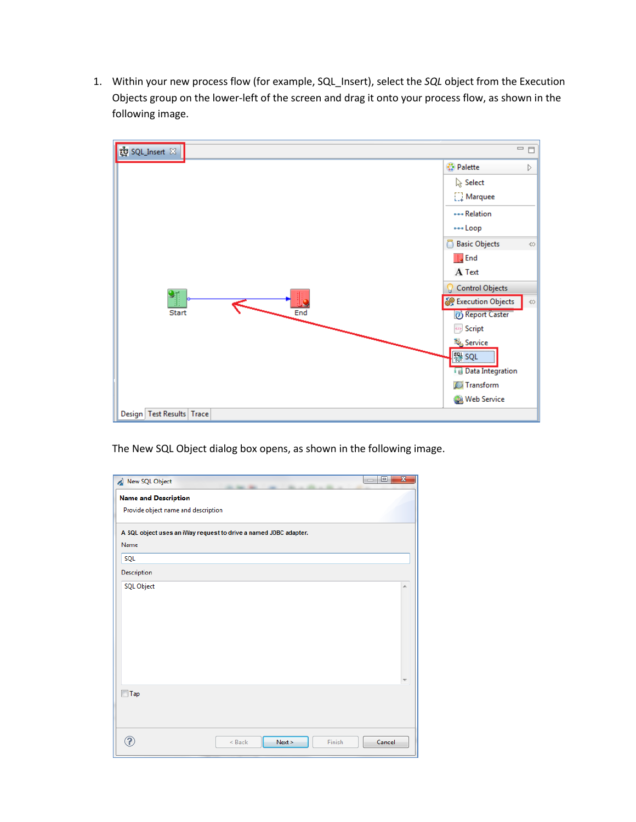1. Within your new process flow (for example, SQL\_Insert), select the *SQL* object from the Execution Objects group on the lower-left of the screen and drag it onto your process flow, as shown in the following image.



The New SQL Object dialog box opens, as shown in the following image.

| New SQL Object                                                   |          |      |        | $\Box$ | $\Box$ | $\overline{\mathbf{x}}$ |
|------------------------------------------------------------------|----------|------|--------|--------|--------|-------------------------|
| <b>Name and Description</b>                                      |          |      |        |        |        |                         |
| Provide object name and description                              |          |      |        |        |        |                         |
| A SQL object uses an iWay request to drive a named JDBC adapter. |          |      |        |        |        |                         |
| Name                                                             |          |      |        |        |        |                         |
| SQL                                                              |          |      |        |        |        |                         |
| Description                                                      |          |      |        |        |        |                         |
| <b>SQL Object</b>                                                |          |      |        |        |        | ┻                       |
|                                                                  |          |      |        |        |        |                         |
|                                                                  |          |      |        |        |        |                         |
|                                                                  |          |      |        |        |        |                         |
|                                                                  |          |      |        |        |        |                         |
|                                                                  |          |      |        |        |        |                         |
|                                                                  |          |      |        |        |        |                         |
|                                                                  |          |      |        |        |        |                         |
| Tap                                                              |          |      |        |        |        |                         |
|                                                                  |          |      |        |        |        |                         |
|                                                                  |          |      |        |        |        |                         |
|                                                                  | $<$ Back | Next | Finish |        | Cancel |                         |
|                                                                  |          |      |        |        |        |                         |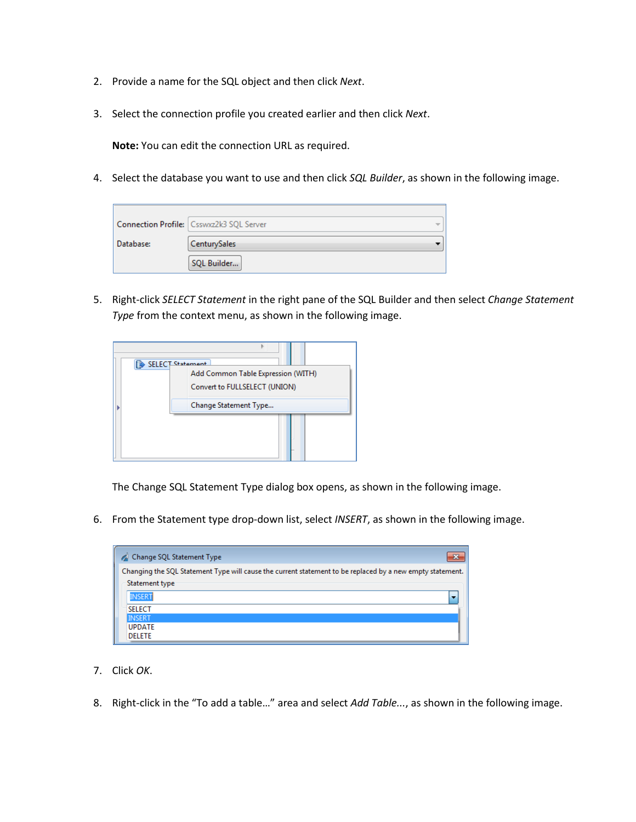- 2. Provide a name for the SQL object and then click *Next*.
- 3. Select the connection profile you created earlier and then click *Next*.

**Note:** You can edit the connection URL as required.

4. Select the database you want to use and then click *SQL Builder*, as shown in the following image.

|           | Connection Profile: Csswxz2k3 SQL Server |  |
|-----------|------------------------------------------|--|
| Database: | CenturySales                             |  |
|           | SQL Builder                              |  |

5. Right-click *SELECT Statement* in the right pane of the SQL Builder and then select *Change Statement Type* from the context menu, as shown in the following image.



The Change SQL Statement Type dialog box opens, as shown in the following image.

6. From the Statement type drop-down list, select *INSERT*, as shown in the following image.

| Change SQL Statement Type                                                                                 |
|-----------------------------------------------------------------------------------------------------------|
| Changing the SQL Statement Type will cause the current statement to be replaced by a new empty statement. |
| Statement type                                                                                            |
| <b>INSERT</b>                                                                                             |
| <b>SELECT</b>                                                                                             |
| <b>INSERT</b>                                                                                             |
| <b>UPDATE</b>                                                                                             |
| <b>DELETE</b>                                                                                             |

- 7. Click *OK*.
- 8. Right-click in the "To add a table…" area and select *Add Table...*, as shown in the following image.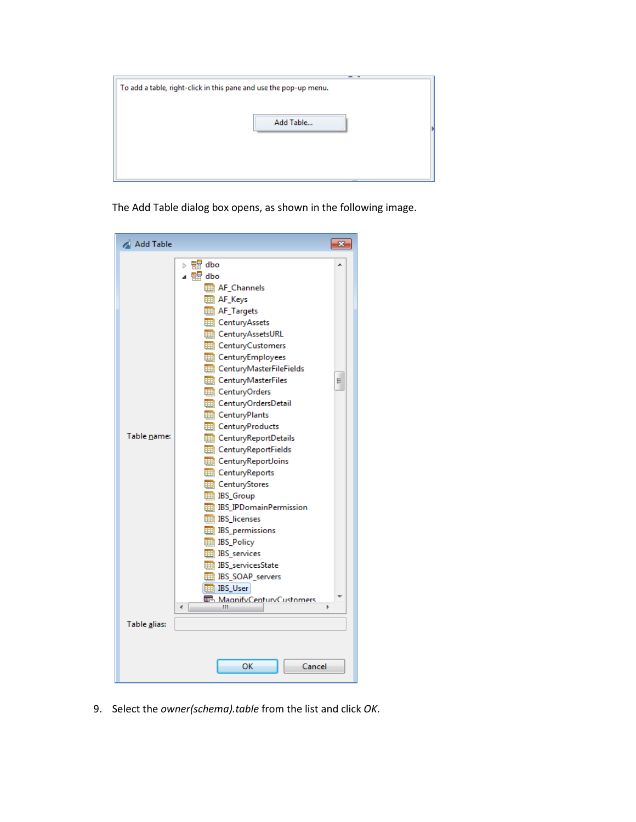| To add a table, right-click in this pane and use the pop-up menu. |  |
|-------------------------------------------------------------------|--|
| Add Table                                                         |  |
|                                                                   |  |

The Add Table dialog box opens, as shown in the following image.



9. Select the *owner(schema).table* from the list and click *OK*.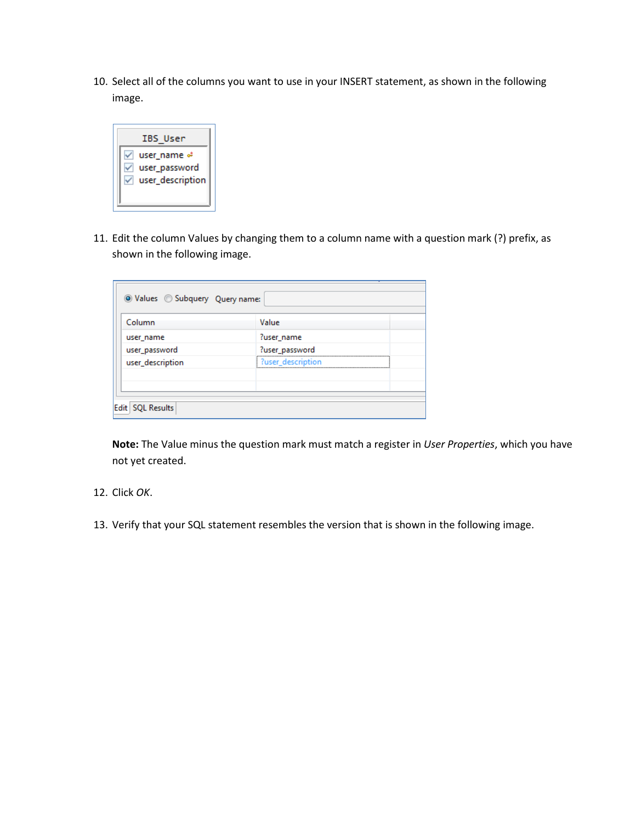10. Select all of the columns you want to use in your INSERT statement, as shown in the following image.



11. Edit the column Values by changing them to a column name with a question mark (?) prefix, as shown in the following image.

| ?user_name<br>?user_password |
|------------------------------|
|                              |
|                              |
| ?user description            |
|                              |
|                              |

**Note:** The Value minus the question mark must match a register in *User Properties*, which you have not yet created.

- 12. Click *OK*.
- 13. Verify that your SQL statement resembles the version that is shown in the following image.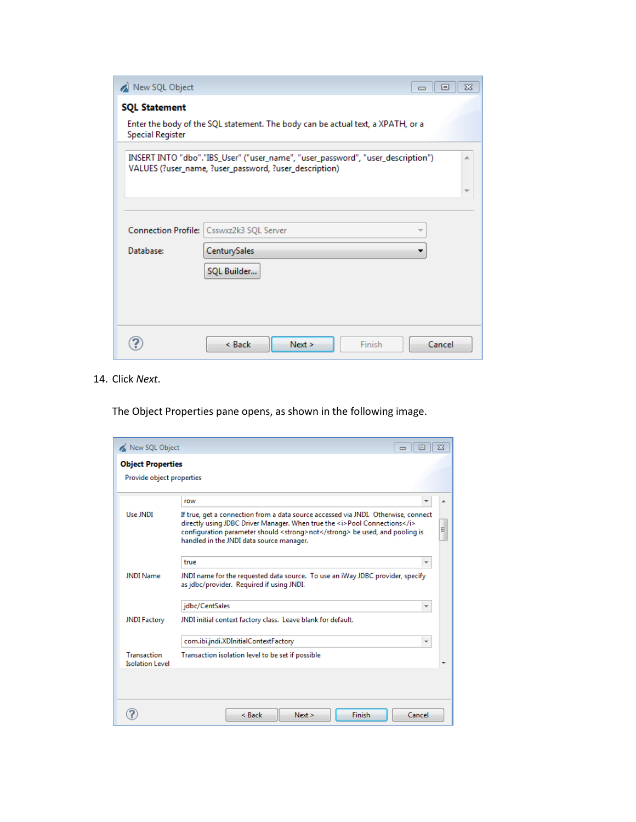| New SQL Object                                                                                                                                  | $\Sigma$<br>回<br>$\Box$                |  |  |  |  |  |
|-------------------------------------------------------------------------------------------------------------------------------------------------|----------------------------------------|--|--|--|--|--|
| <b>SQL Statement</b>                                                                                                                            |                                        |  |  |  |  |  |
| Enter the body of the SQL statement. The body can be actual text, a XPATH, or a<br><b>Special Register</b>                                      |                                        |  |  |  |  |  |
| INSERT INTO "dbo"."IBS_User" ("user_name", "user_password", "user_description")<br>À.<br>VALUES (?user_name, ?user_password, ?user_description) |                                        |  |  |  |  |  |
|                                                                                                                                                 |                                        |  |  |  |  |  |
|                                                                                                                                                 |                                        |  |  |  |  |  |
| <b>Connection Profile:</b>                                                                                                                      | Csswxz2k3 SQL Server                   |  |  |  |  |  |
| Database:                                                                                                                                       | CenturySales                           |  |  |  |  |  |
|                                                                                                                                                 | SQL Builder                            |  |  |  |  |  |
|                                                                                                                                                 |                                        |  |  |  |  |  |
|                                                                                                                                                 |                                        |  |  |  |  |  |
|                                                                                                                                                 | $<$ Back<br>Finish<br>Cancel<br>Next > |  |  |  |  |  |

14. Click *Next*.

The Object Properties pane opens, as shown in the following image.

| New SQL Object<br>$\Sigma$<br>同<br>$\Box$ |                                                                                                                                                                                                                                                                                                  |  |  |  |  |  |
|-------------------------------------------|--------------------------------------------------------------------------------------------------------------------------------------------------------------------------------------------------------------------------------------------------------------------------------------------------|--|--|--|--|--|
| <b>Object Properties</b>                  |                                                                                                                                                                                                                                                                                                  |  |  |  |  |  |
| Provide object properties                 |                                                                                                                                                                                                                                                                                                  |  |  |  |  |  |
|                                           |                                                                                                                                                                                                                                                                                                  |  |  |  |  |  |
| Use JNDI                                  | row                                                                                                                                                                                                                                                                                              |  |  |  |  |  |
|                                           | If true, get a connection from a data source accessed via JNDI. Otherwise, connect<br>directly using JDBC Driver Manager. When true the <i>Pool Connections</i><br>Ξ<br>configuration parameter should <strong> not</strong> be used, and pooling is<br>handled in the JNDI data source manager. |  |  |  |  |  |
|                                           | true<br>٠                                                                                                                                                                                                                                                                                        |  |  |  |  |  |
| <b>JNDI Name</b>                          | JNDI name for the requested data source. To use an iWay JDBC provider, specify<br>as jdbc/provider. Required if using JNDI.                                                                                                                                                                      |  |  |  |  |  |
|                                           | jdbc/CentSales<br>┯                                                                                                                                                                                                                                                                              |  |  |  |  |  |
| <b>JNDI Factory</b>                       | JNDI initial context factory class. Leave blank for default.                                                                                                                                                                                                                                     |  |  |  |  |  |
|                                           | com.ibi.jndi.XDInitialContextFactory                                                                                                                                                                                                                                                             |  |  |  |  |  |
| Transaction<br><b>Isolation Level</b>     | Transaction isolation level to be set if possible                                                                                                                                                                                                                                                |  |  |  |  |  |
|                                           |                                                                                                                                                                                                                                                                                                  |  |  |  |  |  |
|                                           | Finish<br>Cancel<br>$<$ Back<br>Next                                                                                                                                                                                                                                                             |  |  |  |  |  |